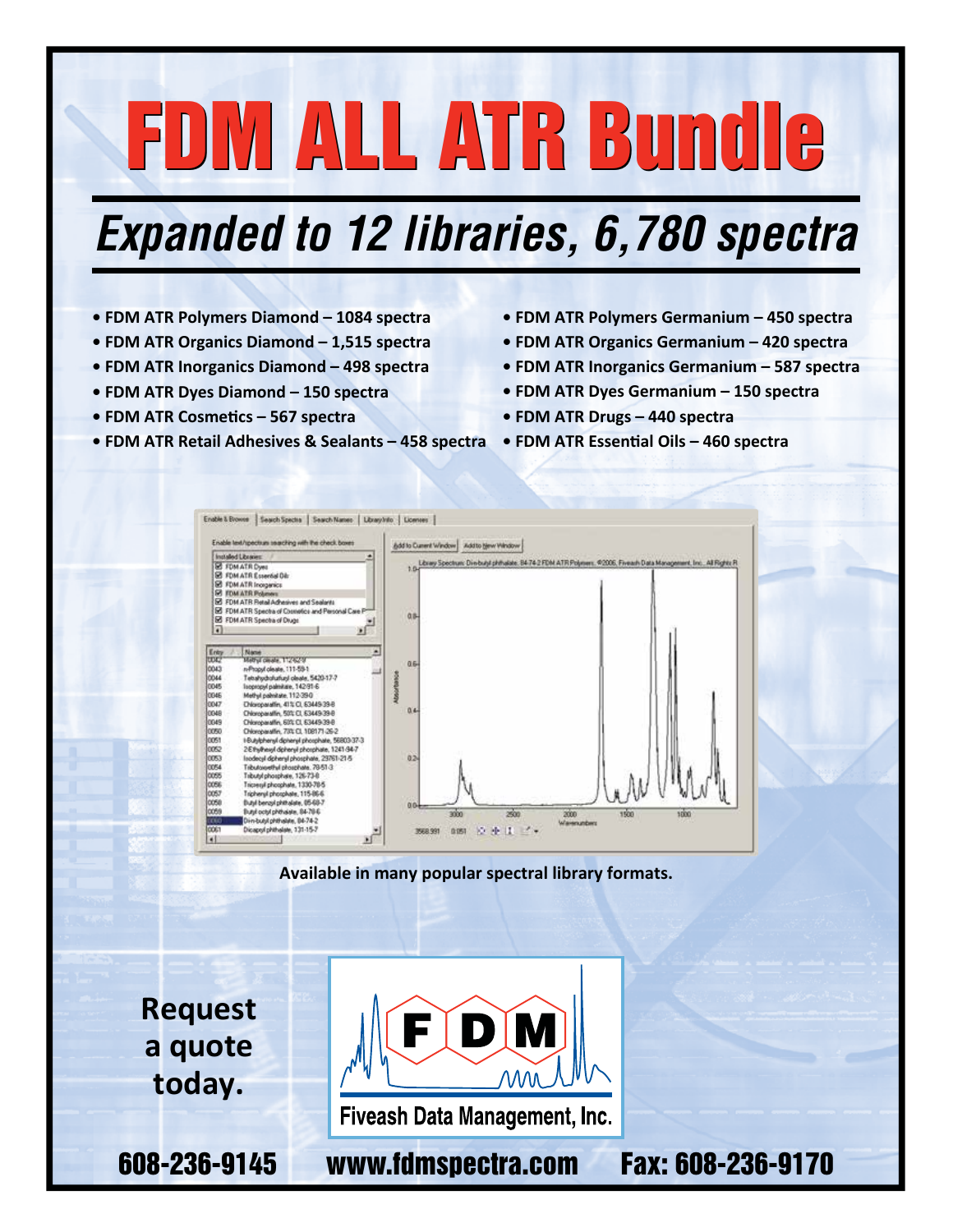# FDM ALL ATR Bundle FDM ALL ATR Bundle

## *Expanded to 12 libraries, 6,780 spectra*

- **FDM ATR Polymers Diamond 1084 spectra**
- **FDM ATR Organics Diamond 1,515 spectra**
- **FDM ATR Inorganics Diamond 498 spectra**
- **FDM ATR Dyes Diamond 150 spectra**
- **FDM ATR Cosmetics 567 spectra**
- **FDM ATR Retail Adhesives & Sealants 458 spectra FDM ATR Essential Oils 460 spectra**
- **FDM ATR Polymers Germanium 450 spectra**
- **FDM ATR Organics Germanium 420 spectra**
- **FDM ATR Inorganics Germanium 587 spectra**
- **FDM ATR Dyes Germanium 150 spectra**
- **FDM ATR Drugs 440 spectra**
- 



**Available in many popular spectral library formats.**

**Request a quote today.**



Fiveash Data Management, Inc.

608-236-9145 www.fdmspectra.com Fax: 608-236-9170